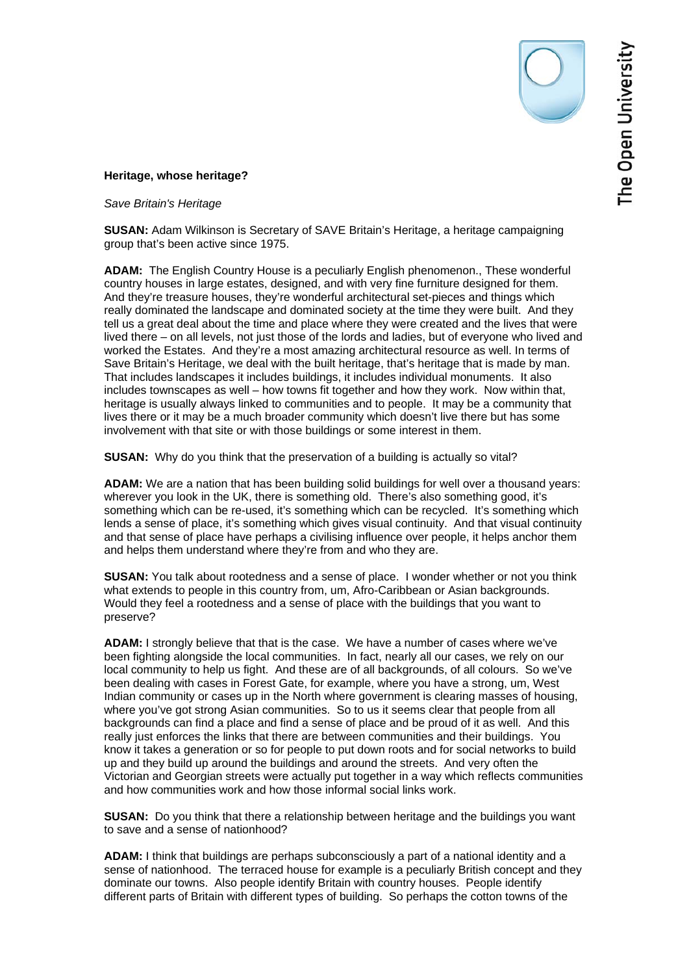## **Heritage, whose heritage?**

*Save Britain's Heritage*

**SUSAN:** Adam Wilkinson is Secretary of SAVE Britain's Heritage, a heritage campaigning group that's been active since 1975.

**ADAM:** The English Country House is a peculiarly English phenomenon., These wonderful country houses in large estates, designed, and with very fine furniture designed for them. And they're treasure houses, they're wonderful architectural set-pieces and things which really dominated the landscape and dominated society at the time they were built. And they tell us a great deal about the time and place where they were created and the lives that were lived there – on all levels, not just those of the lords and ladies, but of everyone who lived and worked the Estates. And they're a most amazing architectural resource as well. In terms of Save Britain's Heritage, we deal with the built heritage, that's heritage that is made by man. That includes landscapes it includes buildings, it includes individual monuments. It also includes townscapes as well – how towns fit together and how they work. Now within that, heritage is usually always linked to communities and to people. It may be a community that lives there or it may be a much broader community which doesn't live there but has some involvement with that site or with those buildings or some interest in them.

**SUSAN:** Why do you think that the preservation of a building is actually so vital?

**ADAM:** We are a nation that has been building solid buildings for well over a thousand years: wherever you look in the UK, there is something old. There's also something good, it's something which can be re-used, it's something which can be recycled. It's something which lends a sense of place, it's something which gives visual continuity. And that visual continuity and that sense of place have perhaps a civilising influence over people, it helps anchor them and helps them understand where they're from and who they are.

**SUSAN:** You talk about rootedness and a sense of place. I wonder whether or not you think what extends to people in this country from, um, Afro-Caribbean or Asian backgrounds. Would they feel a rootedness and a sense of place with the buildings that you want to preserve?

**ADAM:** I strongly believe that that is the case. We have a number of cases where we've been fighting alongside the local communities. In fact, nearly all our cases, we rely on our local community to help us fight. And these are of all backgrounds, of all colours. So we've been dealing with cases in Forest Gate, for example, where you have a strong, um, West Indian community or cases up in the North where government is clearing masses of housing, where you've got strong Asian communities. So to us it seems clear that people from all backgrounds can find a place and find a sense of place and be proud of it as well. And this really just enforces the links that there are between communities and their buildings. You know it takes a generation or so for people to put down roots and for social networks to build up and they build up around the buildings and around the streets. And very often the Victorian and Georgian streets were actually put together in a way which reflects communities and how communities work and how those informal social links work.

**SUSAN:** Do you think that there a relationship between heritage and the buildings you want to save and a sense of nationhood?

**ADAM:** I think that buildings are perhaps subconsciously a part of a national identity and a sense of nationhood. The terraced house for example is a peculiarly British concept and they dominate our towns. Also people identify Britain with country houses. People identify different parts of Britain with different types of building. So perhaps the cotton towns of the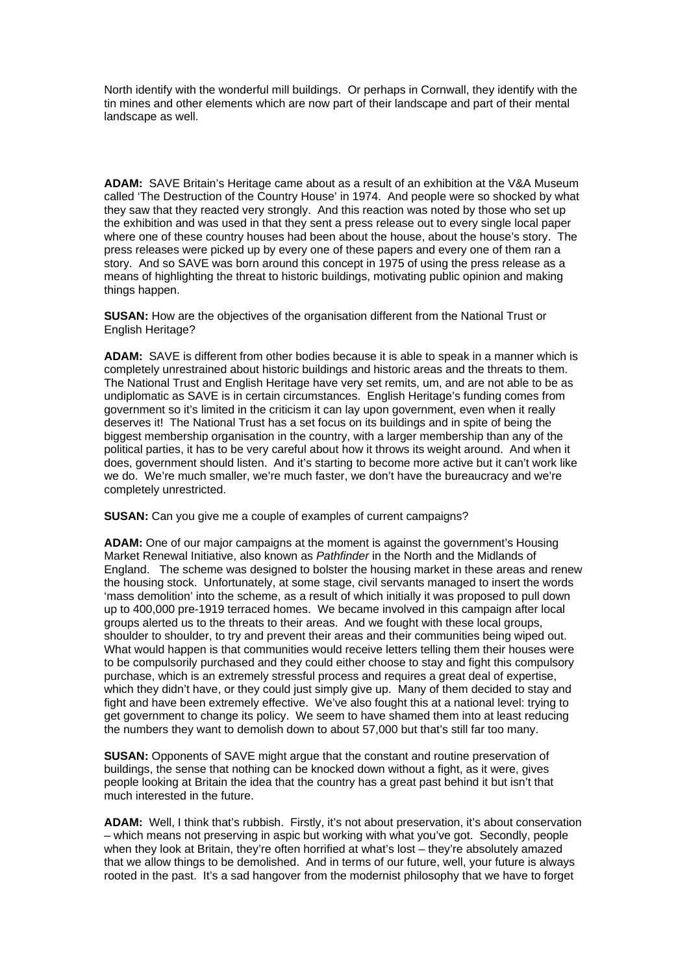North identify with the wonderful mill buildings. Or perhaps in Cornwall, they identify with the tin mines and other elements which are now part of their landscape and part of their mental landscape as well.

**ADAM:** SAVE Britain's Heritage came about as a result of an exhibition at the V&A Museum called 'The Destruction of the Country House' in 1974. And people were so shocked by what they saw that they reacted very strongly. And this reaction was noted by those who set up the exhibition and was used in that they sent a press release out to every single local paper where one of these country houses had been about the house, about the house's story. The press releases were picked up by every one of these papers and every one of them ran a story. And so SAVE was born around this concept in 1975 of using the press release as a means of highlighting the threat to historic buildings, motivating public opinion and making things happen.

**SUSAN:** How are the objectives of the organisation different from the National Trust or English Heritage?

**ADAM:** SAVE is different from other bodies because it is able to speak in a manner which is completely unrestrained about historic buildings and historic areas and the threats to them. The National Trust and English Heritage have very set remits, um, and are not able to be as undiplomatic as SAVE is in certain circumstances. English Heritage's funding comes from government so it's limited in the criticism it can lay upon government, even when it really deserves it! The National Trust has a set focus on its buildings and in spite of being the biggest membership organisation in the country, with a larger membership than any of the political parties, it has to be very careful about how it throws its weight around. And when it does, government should listen. And it's starting to become more active but it can't work like we do. We're much smaller, we're much faster, we don't have the bureaucracy and we're completely unrestricted.

**SUSAN:** Can you give me a couple of examples of current campaigns?

**ADAM:** One of our major campaigns at the moment is against the government's Housing Market Renewal Initiative, also known as *Pathfinder* in the North and the Midlands of England. The scheme was designed to bolster the housing market in these areas and renew the housing stock. Unfortunately, at some stage, civil servants managed to insert the words 'mass demolition' into the scheme, as a result of which initially it was proposed to pull down up to 400,000 pre-1919 terraced homes. We became involved in this campaign after local groups alerted us to the threats to their areas. And we fought with these local groups, shoulder to shoulder, to try and prevent their areas and their communities being wiped out. What would happen is that communities would receive letters telling them their houses were to be compulsorily purchased and they could either choose to stay and fight this compulsory purchase, which is an extremely stressful process and requires a great deal of expertise, which they didn't have, or they could just simply give up. Many of them decided to stay and fight and have been extremely effective. We've also fought this at a national level: trying to get government to change its policy. We seem to have shamed them into at least reducing the numbers they want to demolish down to about 57,000 but that's still far too many.

**SUSAN:** Opponents of SAVE might argue that the constant and routine preservation of buildings, the sense that nothing can be knocked down without a fight, as it were, gives people looking at Britain the idea that the country has a great past behind it but isn't that much interested in the future.

**ADAM:** Well, I think that's rubbish. Firstly, it's not about preservation, it's about conservation – which means not preserving in aspic but working with what you've got. Secondly, people when they look at Britain, they're often horrified at what's lost – they're absolutely amazed that we allow things to be demolished. And in terms of our future, well, your future is always rooted in the past. It's a sad hangover from the modernist philosophy that we have to forget